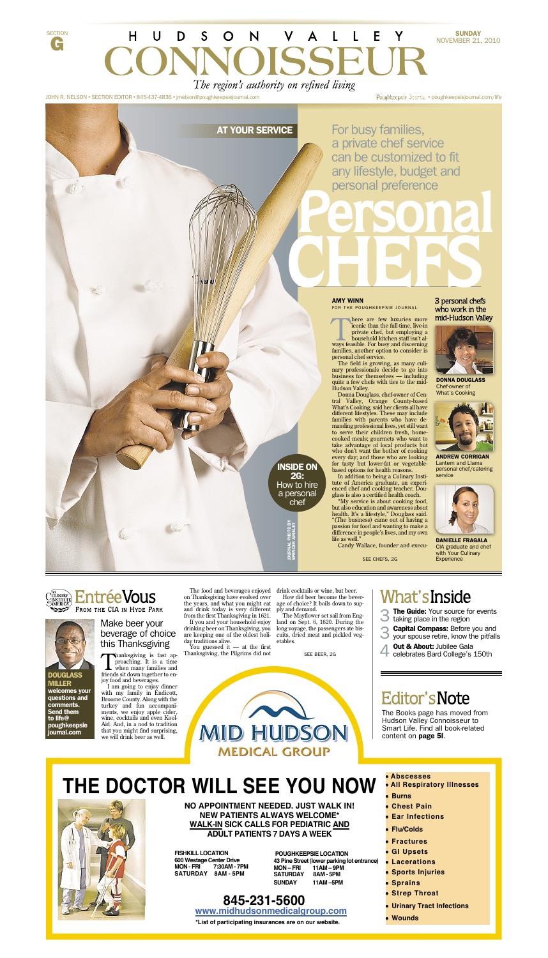

JOHN R. NELSON • SECTION EDITOR • 845-437-4836 • jrnelson@poughkeepsiejournal.com

G

Poughkeepsie Journal · poughkeepsiejournal.com/life

# AT YOUR SERVICE

For busy families, a private chef service can be customized to fit any lifestyle, budget and personal preference

#### AMY WINN FOR THE POUGHKEEPSIE JOURNAL

There are few luxuries more<br>iconic than the full-time, live-in<br>private chef, but employing a<br>household kitchen staff isn't al-<br>ways feasible. For busy and discerning here are few luxuries more iconic than the full-time, live-in private chef, but employing a household kitchen staff isn't al-

families, another option to consider is personal chef service.

The field is growing, as many culinary professionals decide to go into business for themselves — including quite a few chefs with ties to the mid-Hudson Valley.

Donna Douglass, chef-owner of Central Valley, Orange County-based What's Cooking, said her clients all have different lifestyles. These may include families with parents who have demanding professional lives, yet still want to serve their children fresh, homecooked meals; gourmets who want to take advantage of local products but who don't want the bother of cooking every day; and those who are looking for tasty but lower-fat or vegetablebased options for health reasons.

In addition to being a Culinary Institute of America graduate, an experienced chef and cooking teacher, Douglass is also a certified health coach.

"My service is about cooking food, but also education and awareness about health. It's a lifestyle," Douglass said. "(The business) came out of having a passion for food and wanting to make a difference in people's lives, and my own life as well."

Candy Wallace, founder and execu-

### 3 personal chefs who work in the mid-Hudson Valley



DONNA DOUGLASS Chef-owner of What's Cooking



ANDREW CORRIGAN Lantern and Llama personal chef/catering service



DANIELLE FRAGALA CIA graduate and chef with Your Culinary **Experience** 

INSIDE ON 2G: How to hire a personal chef

SPENCER AINSLEY